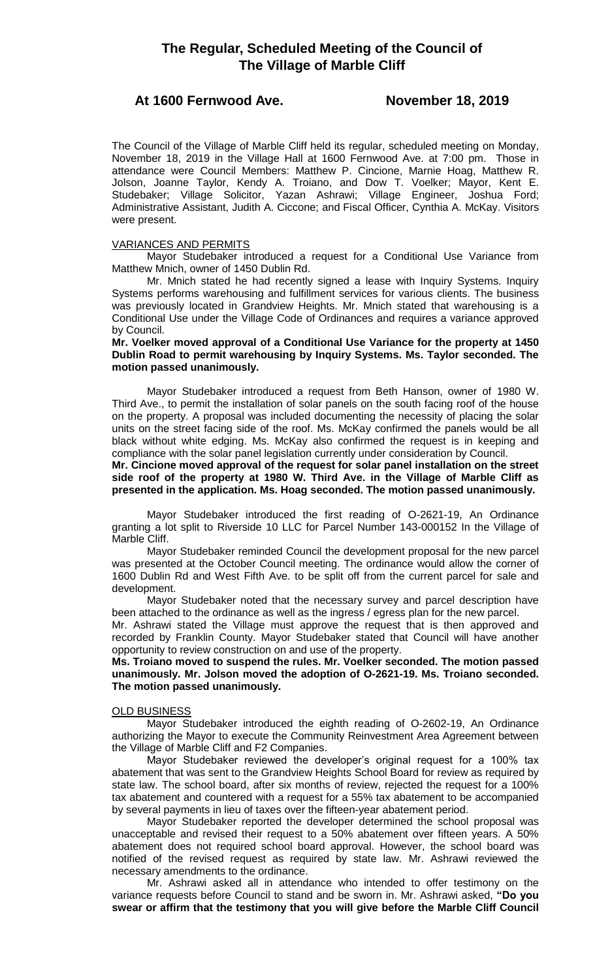# At 1600 Fernwood Ave. November 18, 2019

The Council of the Village of Marble Cliff held its regular, scheduled meeting on Monday, November 18, 2019 in the Village Hall at 1600 Fernwood Ave. at 7:00 pm. Those in attendance were Council Members: Matthew P. Cincione, Marnie Hoag, Matthew R. Jolson, Joanne Taylor, Kendy A. Troiano, and Dow T. Voelker; Mayor, Kent E. Studebaker; Village Solicitor, Yazan Ashrawi; Village Engineer, Joshua Ford; Administrative Assistant, Judith A. Ciccone; and Fiscal Officer, Cynthia A. McKay. Visitors were present.

# VARIANCES AND PERMITS

Mayor Studebaker introduced a request for a Conditional Use Variance from Matthew Mnich, owner of 1450 Dublin Rd.

Mr. Mnich stated he had recently signed a lease with Inquiry Systems. Inquiry Systems performs warehousing and fulfillment services for various clients. The business was previously located in Grandview Heights. Mr. Mnich stated that warehousing is a Conditional Use under the Village Code of Ordinances and requires a variance approved by Council.

# **Mr. Voelker moved approval of a Conditional Use Variance for the property at 1450 Dublin Road to permit warehousing by Inquiry Systems. Ms. Taylor seconded. The motion passed unanimously.**

Mayor Studebaker introduced a request from Beth Hanson, owner of 1980 W. Third Ave., to permit the installation of solar panels on the south facing roof of the house on the property. A proposal was included documenting the necessity of placing the solar units on the street facing side of the roof. Ms. McKay confirmed the panels would be all black without white edging. Ms. McKay also confirmed the request is in keeping and compliance with the solar panel legislation currently under consideration by Council.

**Mr. Cincione moved approval of the request for solar panel installation on the street side roof of the property at 1980 W. Third Ave. in the Village of Marble Cliff as presented in the application. Ms. Hoag seconded. The motion passed unanimously.**

Mayor Studebaker introduced the first reading of O-2621-19, An Ordinance granting a lot split to Riverside 10 LLC for Parcel Number 143-000152 In the Village of Marble Cliff.

Mayor Studebaker reminded Council the development proposal for the new parcel was presented at the October Council meeting. The ordinance would allow the corner of 1600 Dublin Rd and West Fifth Ave. to be split off from the current parcel for sale and development.

Mayor Studebaker noted that the necessary survey and parcel description have been attached to the ordinance as well as the ingress / egress plan for the new parcel.

Mr. Ashrawi stated the Village must approve the request that is then approved and recorded by Franklin County. Mayor Studebaker stated that Council will have another opportunity to review construction on and use of the property.

**Ms. Troiano moved to suspend the rules. Mr. Voelker seconded. The motion passed unanimously. Mr. Jolson moved the adoption of O-2621-19. Ms. Troiano seconded. The motion passed unanimously.** 

# **OLD BUSINESS**

Mayor Studebaker introduced the eighth reading of O-2602-19, An Ordinance authorizing the Mayor to execute the Community Reinvestment Area Agreement between the Village of Marble Cliff and F2 Companies.

Mayor Studebaker reviewed the developer's original request for a 100% tax abatement that was sent to the Grandview Heights School Board for review as required by state law. The school board, after six months of review, rejected the request for a 100% tax abatement and countered with a request for a 55% tax abatement to be accompanied by several payments in lieu of taxes over the fifteen-year abatement period.

Mayor Studebaker reported the developer determined the school proposal was unacceptable and revised their request to a 50% abatement over fifteen years. A 50% abatement does not required school board approval. However, the school board was notified of the revised request as required by state law. Mr. Ashrawi reviewed the necessary amendments to the ordinance.

Mr. Ashrawi asked all in attendance who intended to offer testimony on the variance requests before Council to stand and be sworn in. Mr. Ashrawi asked, **"Do you swear or affirm that the testimony that you will give before the Marble Cliff Council**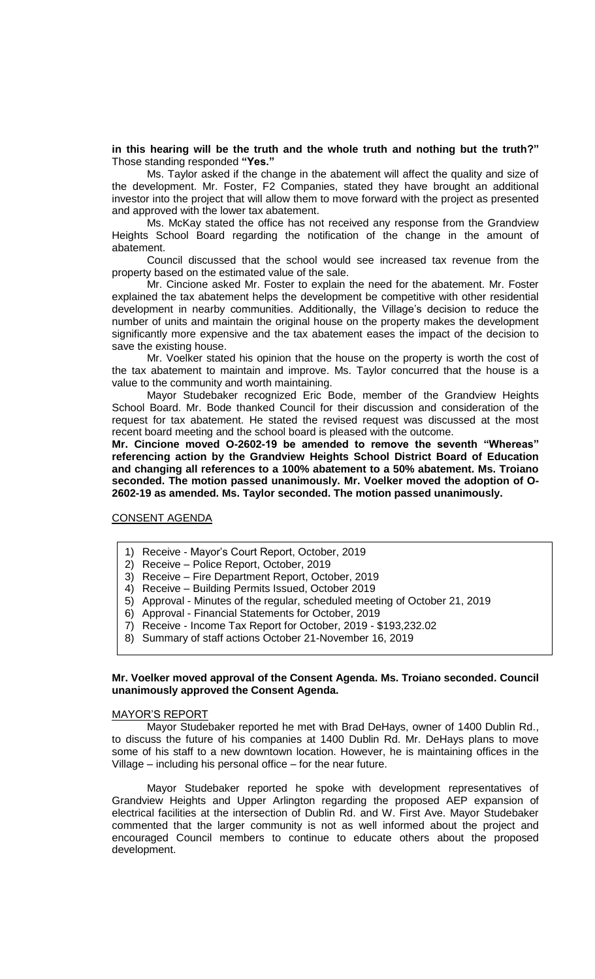# **in this hearing will be the truth and the whole truth and nothing but the truth?"** Those standing responded **"Yes."**

Ms. Taylor asked if the change in the abatement will affect the quality and size of the development. Mr. Foster, F2 Companies, stated they have brought an additional investor into the project that will allow them to move forward with the project as presented and approved with the lower tax abatement.

Ms. McKay stated the office has not received any response from the Grandview Heights School Board regarding the notification of the change in the amount of abatement.

Council discussed that the school would see increased tax revenue from the property based on the estimated value of the sale.

Mr. Cincione asked Mr. Foster to explain the need for the abatement. Mr. Foster explained the tax abatement helps the development be competitive with other residential development in nearby communities. Additionally, the Village's decision to reduce the number of units and maintain the original house on the property makes the development significantly more expensive and the tax abatement eases the impact of the decision to save the existing house.

Mr. Voelker stated his opinion that the house on the property is worth the cost of the tax abatement to maintain and improve. Ms. Taylor concurred that the house is a value to the community and worth maintaining.

Mayor Studebaker recognized Eric Bode, member of the Grandview Heights School Board. Mr. Bode thanked Council for their discussion and consideration of the request for tax abatement. He stated the revised request was discussed at the most recent board meeting and the school board is pleased with the outcome.

**Mr. Cincione moved O-2602-19 be amended to remove the seventh "Whereas" referencing action by the Grandview Heights School District Board of Education and changing all references to a 100% abatement to a 50% abatement. Ms. Troiano seconded. The motion passed unanimously. Mr. Voelker moved the adoption of O-2602-19 as amended. Ms. Taylor seconded. The motion passed unanimously.** 

CONSENT AGENDA

- 1) Receive Mayor's Court Report, October, 2019
- 2) Receive Police Report, October, 2019
- 3) Receive Fire Department Report, October, 2019
- 4) Receive Building Permits Issued, October 2019
- 5) Approval Minutes of the regular, scheduled meeting of October 21, 2019
- 6) Approval Financial Statements for October, 2019
- 7) Receive Income Tax Report for October, 2019 \$193,232.02
- 8) Summary of staff actions October 21-November 16, 2019

### **Mr. Voelker moved approval of the Consent Agenda. Ms. Troiano seconded. Council unanimously approved the Consent Agenda.**

#### MAYOR'S REPORT

Mayor Studebaker reported he met with Brad DeHays, owner of 1400 Dublin Rd., to discuss the future of his companies at 1400 Dublin Rd. Mr. DeHays plans to move some of his staff to a new downtown location. However, he is maintaining offices in the Village – including his personal office – for the near future.

Mayor Studebaker reported he spoke with development representatives of Grandview Heights and Upper Arlington regarding the proposed AEP expansion of electrical facilities at the intersection of Dublin Rd. and W. First Ave. Mayor Studebaker commented that the larger community is not as well informed about the project and encouraged Council members to continue to educate others about the proposed development.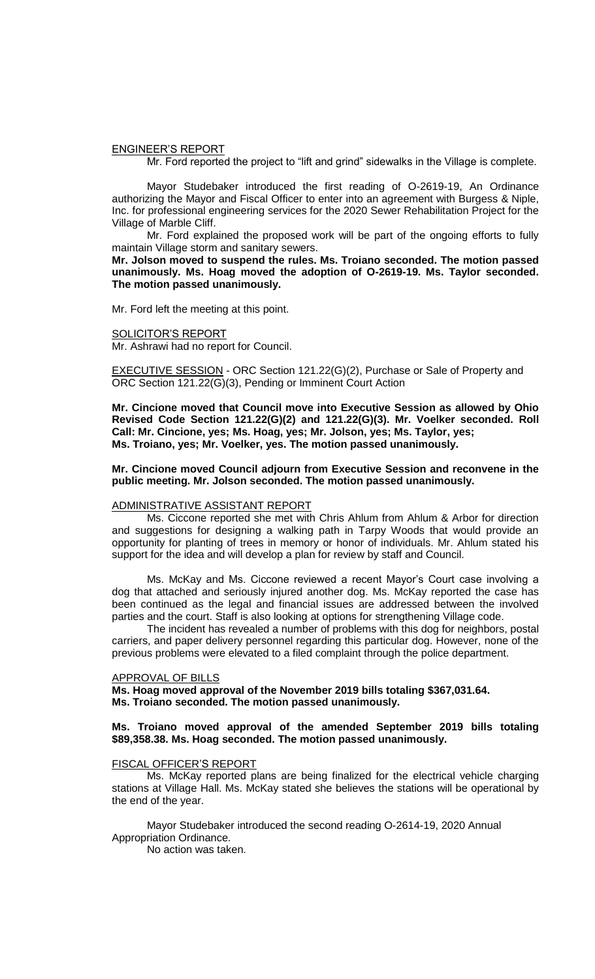#### ENGINEER'S REPORT

Mr. Ford reported the project to "lift and grind" sidewalks in the Village is complete.

Mayor Studebaker introduced the first reading of O-2619-19, An Ordinance authorizing the Mayor and Fiscal Officer to enter into an agreement with Burgess & Niple, Inc. for professional engineering services for the 2020 Sewer Rehabilitation Project for the Village of Marble Cliff.

Mr. Ford explained the proposed work will be part of the ongoing efforts to fully maintain Village storm and sanitary sewers.

**Mr. Jolson moved to suspend the rules. Ms. Troiano seconded. The motion passed unanimously. Ms. Hoag moved the adoption of O-2619-19. Ms. Taylor seconded. The motion passed unanimously.** 

Mr. Ford left the meeting at this point.

#### SOLICITOR'S REPORT

Mr. Ashrawi had no report for Council.

EXECUTIVE SESSION - ORC Section 121.22(G)(2), Purchase or Sale of Property and ORC Section 121.22(G)(3), Pending or Imminent Court Action

**Mr. Cincione moved that Council move into Executive Session as allowed by Ohio Revised Code Section 121.22(G)(2) and 121.22(G)(3). Mr. Voelker seconded. Roll Call: Mr. Cincione, yes; Ms. Hoag, yes; Mr. Jolson, yes; Ms. Taylor, yes; Ms. Troiano, yes; Mr. Voelker, yes. The motion passed unanimously.**

#### **Mr. Cincione moved Council adjourn from Executive Session and reconvene in the public meeting. Mr. Jolson seconded. The motion passed unanimously.**

#### ADMINISTRATIVE ASSISTANT REPORT

Ms. Ciccone reported she met with Chris Ahlum from Ahlum & Arbor for direction and suggestions for designing a walking path in Tarpy Woods that would provide an opportunity for planting of trees in memory or honor of individuals. Mr. Ahlum stated his support for the idea and will develop a plan for review by staff and Council.

Ms. McKay and Ms. Ciccone reviewed a recent Mayor's Court case involving a dog that attached and seriously injured another dog. Ms. McKay reported the case has been continued as the legal and financial issues are addressed between the involved parties and the court. Staff is also looking at options for strengthening Village code.

The incident has revealed a number of problems with this dog for neighbors, postal carriers, and paper delivery personnel regarding this particular dog. However, none of the previous problems were elevated to a filed complaint through the police department.

#### APPROVAL OF BILLS

**Ms. Hoag moved approval of the November 2019 bills totaling \$367,031.64. Ms. Troiano seconded. The motion passed unanimously.**

## **Ms. Troiano moved approval of the amended September 2019 bills totaling \$89,358.38. Ms. Hoag seconded. The motion passed unanimously.**

#### FISCAL OFFICER'S REPORT

Ms. McKay reported plans are being finalized for the electrical vehicle charging stations at Village Hall. Ms. McKay stated she believes the stations will be operational by the end of the year.

Mayor Studebaker introduced the second reading O-2614-19, 2020 Annual Appropriation Ordinance.

No action was taken.